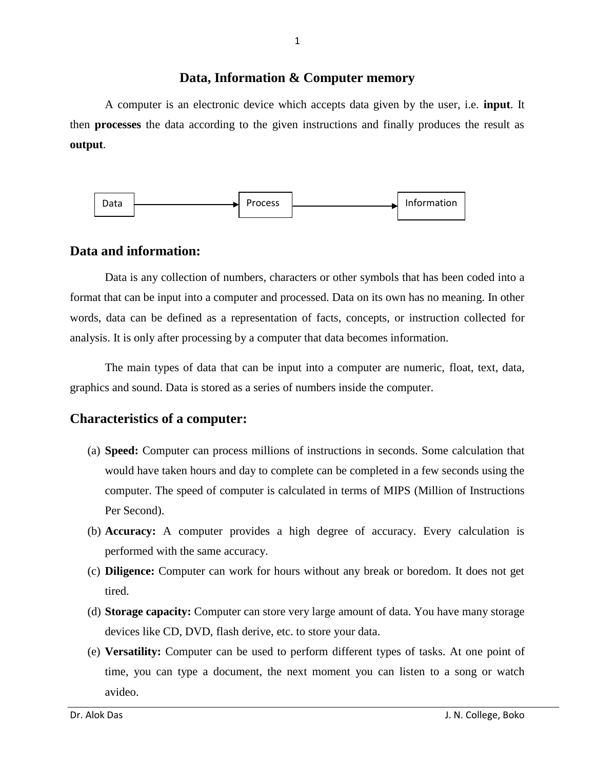#### **Data, Information & Computer memory**

A computer is an electronic device which accepts data given by the user, i.e. **input**. It then **processes** the data according to the given instructions and finally produces the result as **output**.



#### **Data and information:**

Data is any collection of numbers, characters or other symbols that has been coded into a format that can be input into a computer and processed. Data on its own has no meaning. In other words, data can be defined as a representation of facts, concepts, or instruction collected for analysis. It is only after processing by a computer that data becomes information.

The main types of data that can be input into a computer are numeric, float, text, data, graphics and sound. Data is stored as a series of numbers inside the computer.

### **Characteristics of a computer:**

- (a) **Speed:** Computer can process millions of instructions in seconds. Some calculation that would have taken hours and day to complete can be completed in a few seconds using the computer. The speed of computer is calculated in terms of MIPS (Million of Instructions Per Second).
- (b) **Accuracy:** A computer provides a high degree of accuracy. Every calculation is performed with the same accuracy.
- (c) **Diligence:** Computer can work for hours without any break or boredom. It does not get tired.
- (d) **Storage capacity:** Computer can store very large amount of data. You have many storage devices like CD, DVD, flash derive, etc. to store your data.
- (e) **Versatility:** Computer can be used to perform different types of tasks. At one point of time, you can type a document, the next moment you can listen to a song or watch avideo.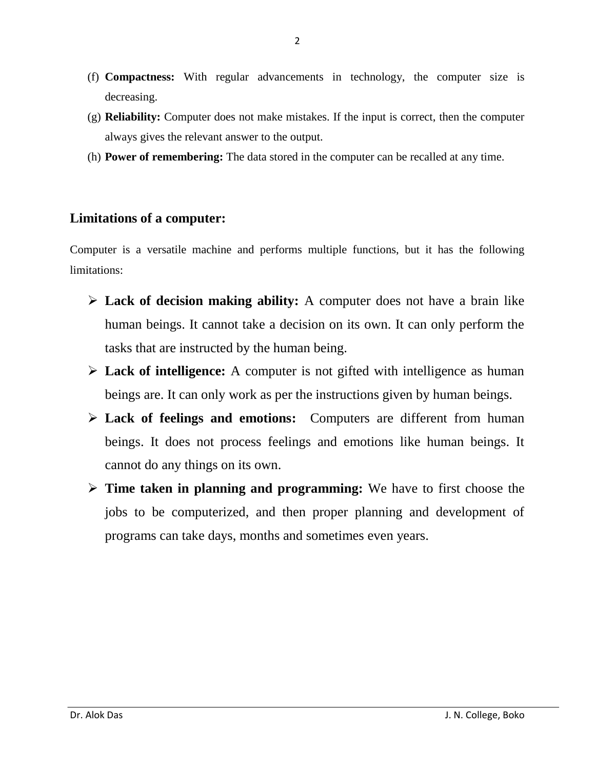- (f) **Compactness:** With regular advancements in technology, the computer size is decreasing.
- (g) **Reliability:** Computer does not make mistakes. If the input is correct, then the computer always gives the relevant answer to the output.
- (h) **Power of remembering:** The data stored in the computer can be recalled at any time.

# **Limitations of a computer:**

Computer is a versatile machine and performs multiple functions, but it has the following limitations:

- **Lack of decision making ability:** A computer does not have a brain like human beings. It cannot take a decision on its own. It can only perform the tasks that are instructed by the human being.
- **Lack of intelligence:** A computer is not gifted with intelligence as human beings are. It can only work as per the instructions given by human beings.
- **Lack of feelings and emotions:** Computers are different from human beings. It does not process feelings and emotions like human beings. It cannot do any things on its own.
- **Time taken in planning and programming:** We have to first choose the jobs to be computerized, and then proper planning and development of programs can take days, months and sometimes even years.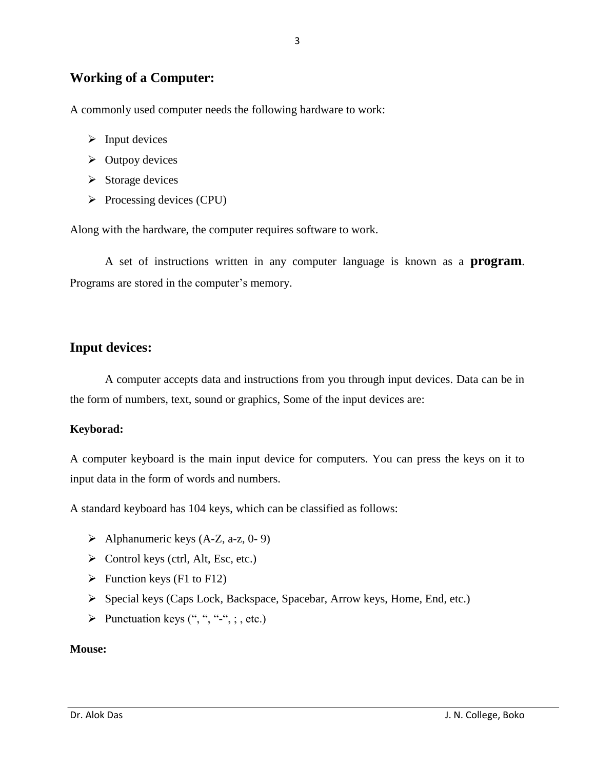## **Working of a Computer:**

A commonly used computer needs the following hardware to work:

- $\triangleright$  Input devices
- $\triangleright$  Outpoy devices
- $\triangleright$  Storage devices
- $\triangleright$  Processing devices (CPU)

Along with the hardware, the computer requires software to work.

A set of instructions written in any computer language is known as a **program**. Programs are stored in the computer's memory.

## **Input devices:**

A computer accepts data and instructions from you through input devices. Data can be in the form of numbers, text, sound or graphics, Some of the input devices are:

#### **Keyborad:**

A computer keyboard is the main input device for computers. You can press the keys on it to input data in the form of words and numbers.

A standard keyboard has 104 keys, which can be classified as follows:

- $\triangleright$  Alphanumeric keys (A-Z, a-z, 0-9)
- $\triangleright$  Control keys (ctrl, Alt, Esc, etc.)
- $\triangleright$  Function keys (F1 to F12)
- Special keys (Caps Lock, Backspace, Spacebar, Arrow keys, Home, End, etc.)
- $\triangleright$  Punctuation keys (", ", ", ", ; , etc.)

#### **Mouse:**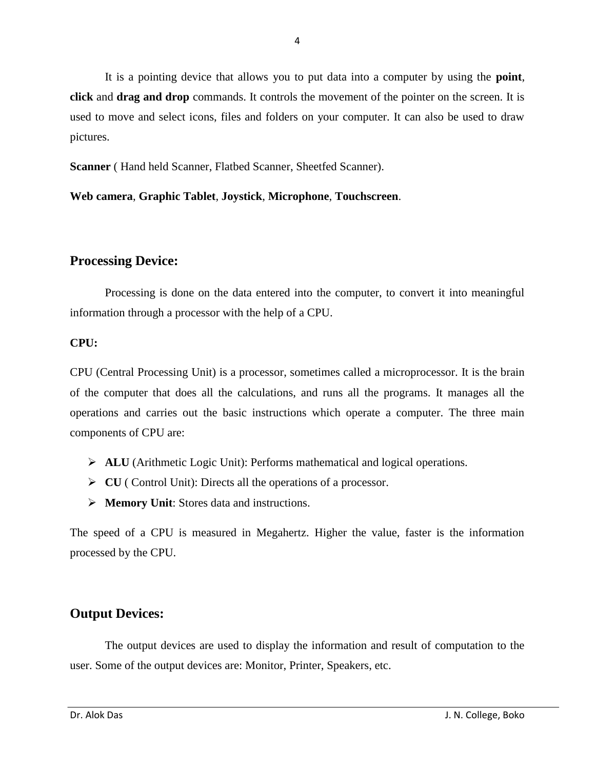It is a pointing device that allows you to put data into a computer by using the **point**, **click** and **drag and drop** commands. It controls the movement of the pointer on the screen. It is used to move and select icons, files and folders on your computer. It can also be used to draw pictures.

**Scanner** ( Hand held Scanner, Flatbed Scanner, Sheetfed Scanner).

**Web camera**, **Graphic Tablet**, **Joystick**, **Microphone**, **Touchscreen**.

# **Processing Device:**

Processing is done on the data entered into the computer, to convert it into meaningful information through a processor with the help of a CPU.

### **CPU:**

CPU (Central Processing Unit) is a processor, sometimes called a microprocessor. It is the brain of the computer that does all the calculations, and runs all the programs. It manages all the operations and carries out the basic instructions which operate a computer. The three main components of CPU are:

- **ALU** (Arithmetic Logic Unit): Performs mathematical and logical operations.
- **CU** ( Control Unit): Directs all the operations of a processor.
- **Memory Unit**: Stores data and instructions.

The speed of a CPU is measured in Megahertz. Higher the value, faster is the information processed by the CPU.

# **Output Devices:**

The output devices are used to display the information and result of computation to the user. Some of the output devices are: Monitor, Printer, Speakers, etc.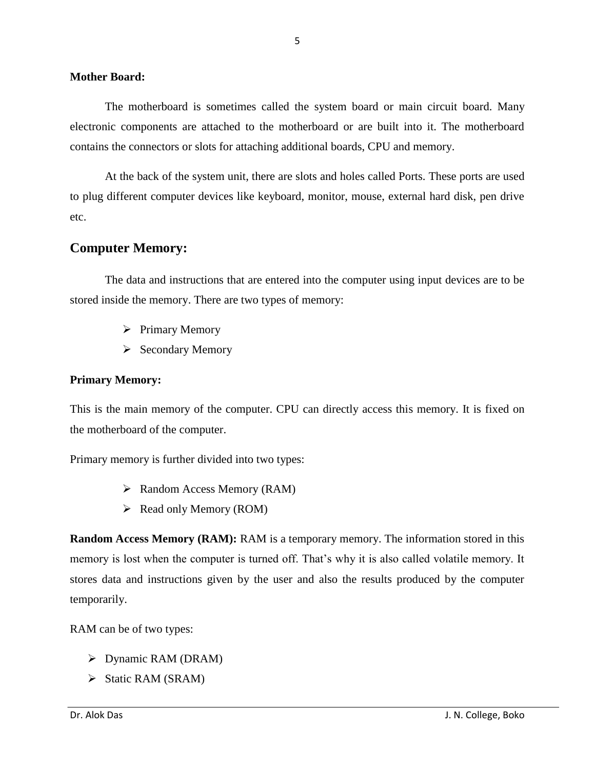#### **Mother Board:**

The motherboard is sometimes called the system board or main circuit board. Many electronic components are attached to the motherboard or are built into it. The motherboard contains the connectors or slots for attaching additional boards, CPU and memory.

At the back of the system unit, there are slots and holes called Ports. These ports are used to plug different computer devices like keyboard, monitor, mouse, external hard disk, pen drive etc.

## **Computer Memory:**

The data and instructions that are entered into the computer using input devices are to be stored inside the memory. There are two types of memory:

- $\triangleright$  Primary Memory
- $\triangleright$  Secondary Memory

#### **Primary Memory:**

This is the main memory of the computer. CPU can directly access this memory. It is fixed on the motherboard of the computer.

Primary memory is further divided into two types:

- $\triangleright$  Random Access Memory (RAM)
- $\triangleright$  Read only Memory (ROM)

**Random Access Memory (RAM):** RAM is a temporary memory. The information stored in this memory is lost when the computer is turned off. That's why it is also called volatile memory. It stores data and instructions given by the user and also the results produced by the computer temporarily.

RAM can be of two types:

- $\triangleright$  Dynamic RAM (DRAM)
- $\triangleright$  Static RAM (SRAM)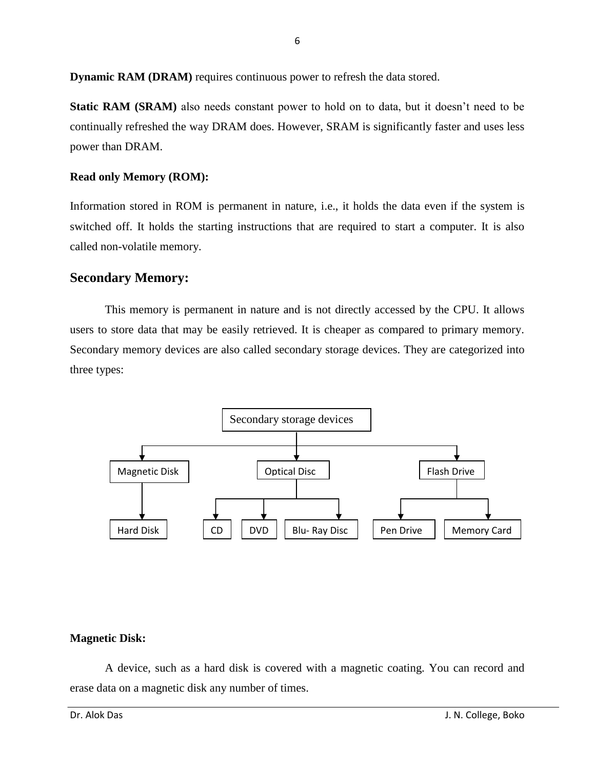**Dynamic RAM (DRAM)** requires continuous power to refresh the data stored.

**Static RAM (SRAM)** also needs constant power to hold on to data, but it doesn't need to be continually refreshed the way DRAM does. However, SRAM is significantly faster and uses less power than DRAM.

#### **Read only Memory (ROM):**

Information stored in ROM is permanent in nature, i.e., it holds the data even if the system is switched off. It holds the starting instructions that are required to start a computer. It is also called non-volatile memory.

### **Secondary Memory:**

This memory is permanent in nature and is not directly accessed by the CPU. It allows users to store data that may be easily retrieved. It is cheaper as compared to primary memory. Secondary memory devices are also called secondary storage devices. They are categorized into three types:



### **Magnetic Disk:**

A device, such as a hard disk is covered with a magnetic coating. You can record and erase data on a magnetic disk any number of times.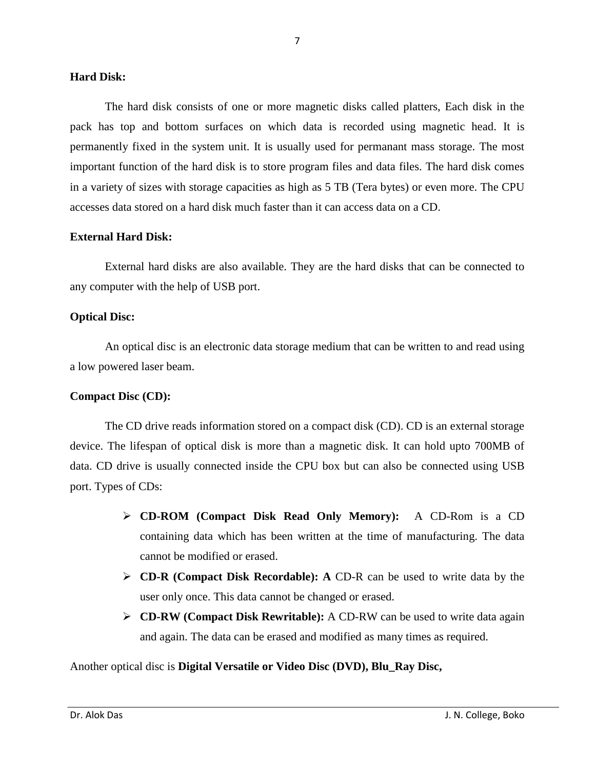#### **Hard Disk:**

The hard disk consists of one or more magnetic disks called platters, Each disk in the pack has top and bottom surfaces on which data is recorded using magnetic head. It is permanently fixed in the system unit. It is usually used for permanant mass storage. The most important function of the hard disk is to store program files and data files. The hard disk comes in a variety of sizes with storage capacities as high as 5 TB (Tera bytes) or even more. The CPU accesses data stored on a hard disk much faster than it can access data on a CD.

#### **External Hard Disk:**

External hard disks are also available. They are the hard disks that can be connected to any computer with the help of USB port.

#### **Optical Disc:**

An optical disc is an electronic data storage medium that can be written to and read using a low powered laser beam.

#### **Compact Disc (CD):**

The CD drive reads information stored on a compact disk (CD). CD is an external storage device. The lifespan of optical disk is more than a magnetic disk. It can hold upto 700MB of data. CD drive is usually connected inside the CPU box but can also be connected using USB port. Types of CDs:

- **CD-ROM (Compact Disk Read Only Memory):** A CD-Rom is a CD containing data which has been written at the time of manufacturing. The data cannot be modified or erased.
- **CD-R (Compact Disk Recordable): A** CD-R can be used to write data by the user only once. This data cannot be changed or erased.
- **CD-RW (Compact Disk Rewritable):** A CD-RW can be used to write data again and again. The data can be erased and modified as many times as required.

Another optical disc is **Digital Versatile or Video Disc (DVD), Blu\_Ray Disc,**